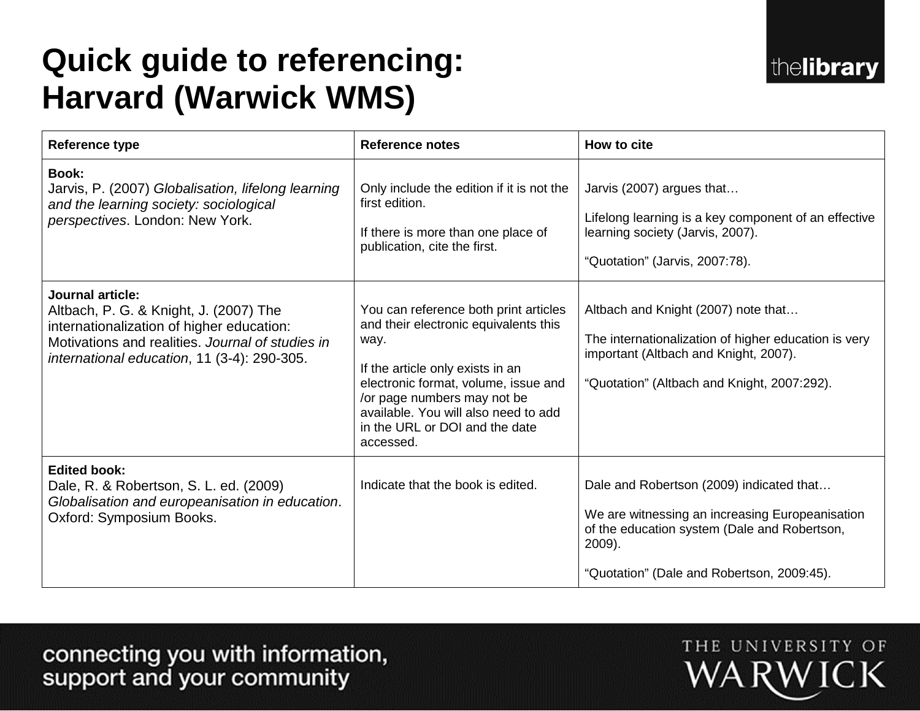# **Quick guide to referencing: Harvard (Warwick WMS)**

| <b>Reference type</b>                                                                                                                                                                                             | <b>Reference notes</b>                                                                                                                                                                                                                                                                   | How to cite                                                                                                                                                                                         |
|-------------------------------------------------------------------------------------------------------------------------------------------------------------------------------------------------------------------|------------------------------------------------------------------------------------------------------------------------------------------------------------------------------------------------------------------------------------------------------------------------------------------|-----------------------------------------------------------------------------------------------------------------------------------------------------------------------------------------------------|
| <b>Book:</b><br>Jarvis, P. (2007) Globalisation, lifelong learning<br>and the learning society: sociological<br>perspectives. London: New York.                                                                   | Only include the edition if it is not the<br>first edition.<br>If there is more than one place of<br>publication, cite the first.                                                                                                                                                        | Jarvis (2007) argues that<br>Lifelong learning is a key component of an effective<br>learning society (Jarvis, 2007).<br>"Quotation" (Jarvis, 2007:78).                                             |
| <b>Journal article:</b><br>Altbach, P. G. & Knight, J. (2007) The<br>internationalization of higher education:<br>Motivations and realities. Journal of studies in<br>international education, 11 (3-4): 290-305. | You can reference both print articles<br>and their electronic equivalents this<br>way.<br>If the article only exists in an<br>electronic format, volume, issue and<br>/or page numbers may not be<br>available. You will also need to add<br>in the URL or DOI and the date<br>accessed. | Altbach and Knight (2007) note that<br>The internationalization of higher education is very<br>important (Altbach and Knight, 2007).<br>"Quotation" (Altbach and Knight, 2007:292).                 |
| <b>Edited book:</b><br>Dale, R. & Robertson, S. L. ed. (2009)<br>Globalisation and europeanisation in education.<br>Oxford: Symposium Books.                                                                      | Indicate that the book is edited.                                                                                                                                                                                                                                                        | Dale and Robertson (2009) indicated that<br>We are witnessing an increasing Europeanisation<br>of the education system (Dale and Robertson,<br>2009).<br>"Quotation" (Dale and Robertson, 2009:45). |

connecting you with information,<br>support and your community

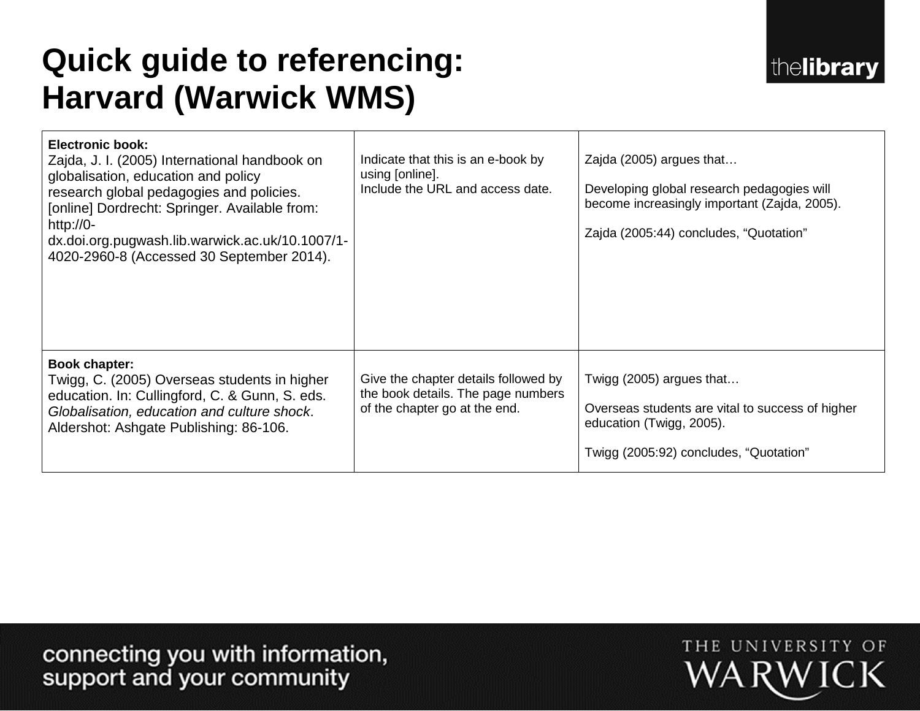# **Quick guide to referencing: Harvard (Warwick WMS)**

| <b>Electronic book:</b><br>Zajda, J. I. (2005) International handbook on<br>globalisation, education and policy<br>research global pedagogies and policies.<br>[online] Dordrecht: Springer. Available from:<br>http://0-<br>dx.doi.org.pugwash.lib.warwick.ac.uk/10.1007/1-<br>4020-2960-8 (Accessed 30 September 2014). | Indicate that this is an e-book by<br>using [online].<br>Include the URL and access date.                   | Zajda (2005) argues that<br>Developing global research pedagogies will<br>become increasingly important (Zajda, 2005).<br>Zajda (2005:44) concludes, "Quotation" |
|---------------------------------------------------------------------------------------------------------------------------------------------------------------------------------------------------------------------------------------------------------------------------------------------------------------------------|-------------------------------------------------------------------------------------------------------------|------------------------------------------------------------------------------------------------------------------------------------------------------------------|
| <b>Book chapter:</b><br>Twigg, C. (2005) Overseas students in higher<br>education. In: Cullingford, C. & Gunn, S. eds.<br>Globalisation, education and culture shock.<br>Aldershot: Ashgate Publishing: 86-106.                                                                                                           | Give the chapter details followed by<br>the book details. The page numbers<br>of the chapter go at the end. | Twigg $(2005)$ argues that<br>Overseas students are vital to success of higher<br>education (Twigg, 2005).<br>Twigg (2005:92) concludes, "Quotation"             |

connecting you with information,<br>support and your community